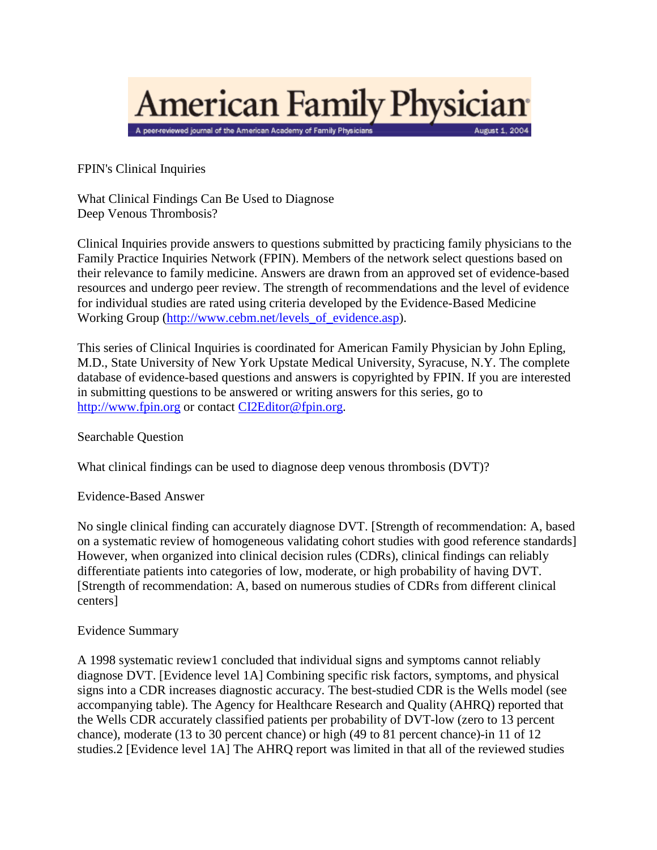

FPIN's Clinical Inquiries

What Clinical Findings Can Be Used to Diagnose Deep Venous Thrombosis?

Clinical Inquiries provide answers to questions submitted by practicing family physicians to the Family Practice Inquiries Network (FPIN). Members of the network select questions based on their relevance to family medicine. Answers are drawn from an approved set of evidence-based resources and undergo peer review. The strength of recommendations and the level of evidence for individual studies are rated using criteria developed by the Evidence-Based Medicine Working Group [\(http://www.cebm.net/levels\\_of\\_evidence.asp\)](http://www.cebm.net/levels_of_evidence.asp).

This series of Clinical Inquiries is coordinated for American Family Physician by John Epling, M.D., State University of New York Upstate Medical University, Syracuse, N.Y. The complete database of evidence-based questions and answers is copyrighted by FPIN. If you are interested in submitting questions to be answered or writing answers for this series, go to [http://www.fpin.org](http://www.fpin.org/) or contac[t CI2Editor@fpin.org.](mailto:CI2Editor@fpin.org)

## Searchable Question

What clinical findings can be used to diagnose deep venous thrombosis (DVT)?

## Evidence-Based Answer

No single clinical finding can accurately diagnose DVT. [Strength of recommendation: A, based on a systematic review of homogeneous validating cohort studies with good reference standards] However, when organized into clinical decision rules (CDRs), clinical findings can reliably differentiate patients into categories of low, moderate, or high probability of having DVT. [Strength of recommendation: A, based on numerous studies of CDRs from different clinical centers]

## Evidence Summary

A 1998 systematic review1 concluded that individual signs and symptoms cannot reliably diagnose DVT. [Evidence level 1A] Combining specific risk factors, symptoms, and physical signs into a CDR increases diagnostic accuracy. The best-studied CDR is the Wells model (see accompanying table). The Agency for Healthcare Research and Quality (AHRQ) reported that the Wells CDR accurately classified patients per probability of DVT-low (zero to 13 percent chance), moderate (13 to 30 percent chance) or high (49 to 81 percent chance)-in 11 of 12 studies.2 [Evidence level 1A] The AHRQ report was limited in that all of the reviewed studies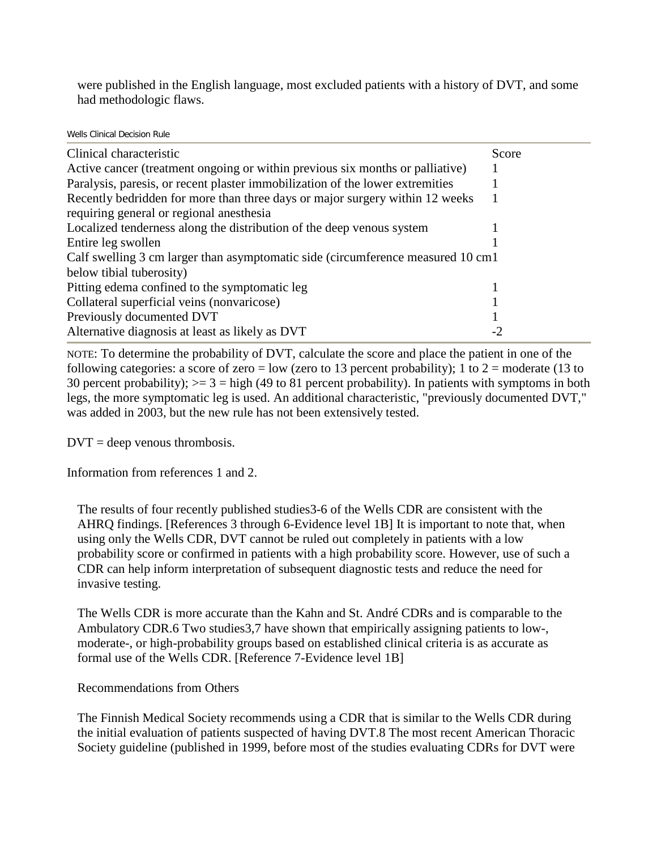were published in the English language, most excluded patients with a history of DVT, and some had methodologic flaws.

## Wells Clinical Decision Rule

| Clinical characteristic                                                           | Score |
|-----------------------------------------------------------------------------------|-------|
| Active cancer (treatment ongoing or within previous six months or palliative)     |       |
| Paralysis, paresis, or recent plaster immobilization of the lower extremities     |       |
| Recently bedridden for more than three days or major surgery within 12 weeks      |       |
| requiring general or regional anesthesia                                          |       |
| Localized tenderness along the distribution of the deep venous system             |       |
| Entire leg swollen                                                                |       |
| Calf swelling 3 cm larger than asymptomatic side (circumference measured 10 cm 1) |       |
| below tibial tuberosity)                                                          |       |
| Pitting edema confined to the symptomatic leg                                     |       |
| Collateral superficial veins (nonvaricose)                                        |       |
| Previously documented DVT                                                         |       |
| Alternative diagnosis at least as likely as DVT                                   |       |

NOTE: To determine the probability of DVT, calculate the score and place the patient in one of the following categories: a score of zero = low (zero to 13 percent probability); 1 to 2 = moderate (13 to 30 percent probability);  $>= 3 =$  high (49 to 81 percent probability). In patients with symptoms in both legs, the more symptomatic leg is used. An additional characteristic, "previously documented DVT," was added in 2003, but the new rule has not been extensively tested.

 $DVT =$  deep venous thrombosis.

Information from references 1 and 2.

The results of four recently published studies3-6 of the Wells CDR are consistent with the AHRQ findings. [References 3 through 6-Evidence level 1B] It is important to note that, when using only the Wells CDR, DVT cannot be ruled out completely in patients with a low probability score or confirmed in patients with a high probability score. However, use of such a CDR can help inform interpretation of subsequent diagnostic tests and reduce the need for invasive testing.

The Wells CDR is more accurate than the Kahn and St. André CDRs and is comparable to the Ambulatory CDR.6 Two studies3,7 have shown that empirically assigning patients to low-, moderate-, or high-probability groups based on established clinical criteria is as accurate as formal use of the Wells CDR. [Reference 7-Evidence level 1B]

Recommendations from Others

The Finnish Medical Society recommends using a CDR that is similar to the Wells CDR during the initial evaluation of patients suspected of having DVT.8 The most recent American Thoracic Society guideline (published in 1999, before most of the studies evaluating CDRs for DVT were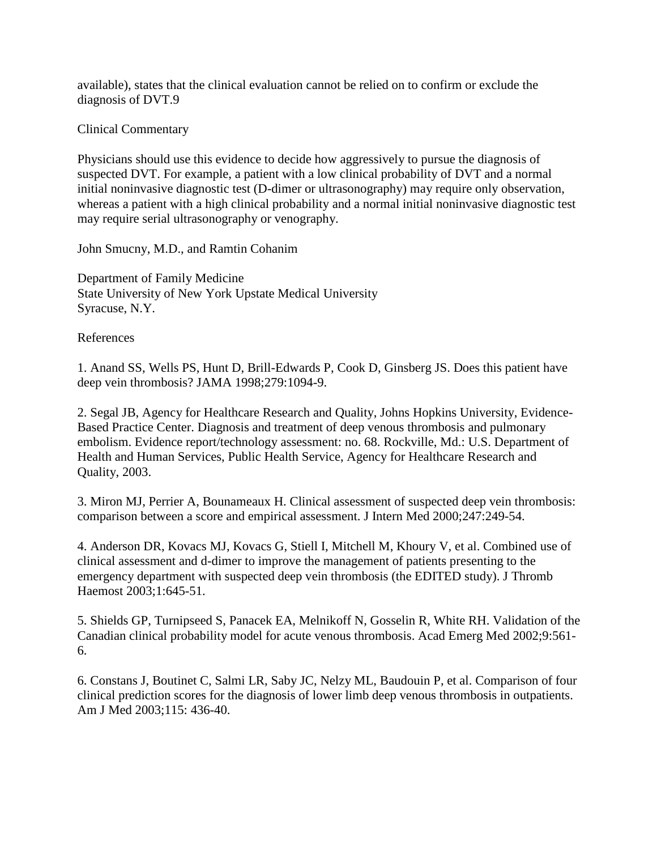available), states that the clinical evaluation cannot be relied on to confirm or exclude the diagnosis of DVT.9

Clinical Commentary

Physicians should use this evidence to decide how aggressively to pursue the diagnosis of suspected DVT. For example, a patient with a low clinical probability of DVT and a normal initial noninvasive diagnostic test (D-dimer or ultrasonography) may require only observation, whereas a patient with a high clinical probability and a normal initial noninvasive diagnostic test may require serial ultrasonography or venography.

John Smucny, M.D., and Ramtin Cohanim

Department of Family Medicine State University of New York Upstate Medical University Syracuse, N.Y.

References

1. Anand SS, Wells PS, Hunt D, Brill-Edwards P, Cook D, Ginsberg JS. Does this patient have deep vein thrombosis? JAMA 1998;279:1094-9.

2. Segal JB, Agency for Healthcare Research and Quality, Johns Hopkins University, Evidence-Based Practice Center. Diagnosis and treatment of deep venous thrombosis and pulmonary embolism. Evidence report/technology assessment: no. 68. Rockville, Md.: U.S. Department of Health and Human Services, Public Health Service, Agency for Healthcare Research and Quality, 2003.

3. Miron MJ, Perrier A, Bounameaux H. Clinical assessment of suspected deep vein thrombosis: comparison between a score and empirical assessment. J Intern Med 2000;247:249-54.

4. Anderson DR, Kovacs MJ, Kovacs G, Stiell I, Mitchell M, Khoury V, et al. Combined use of clinical assessment and d-dimer to improve the management of patients presenting to the emergency department with suspected deep vein thrombosis (the EDITED study). J Thromb Haemost 2003;1:645-51.

5. Shields GP, Turnipseed S, Panacek EA, Melnikoff N, Gosselin R, White RH. Validation of the Canadian clinical probability model for acute venous thrombosis. Acad Emerg Med 2002;9:561- 6.

6. Constans J, Boutinet C, Salmi LR, Saby JC, Nelzy ML, Baudouin P, et al. Comparison of four clinical prediction scores for the diagnosis of lower limb deep venous thrombosis in outpatients. Am J Med 2003;115: 436-40.